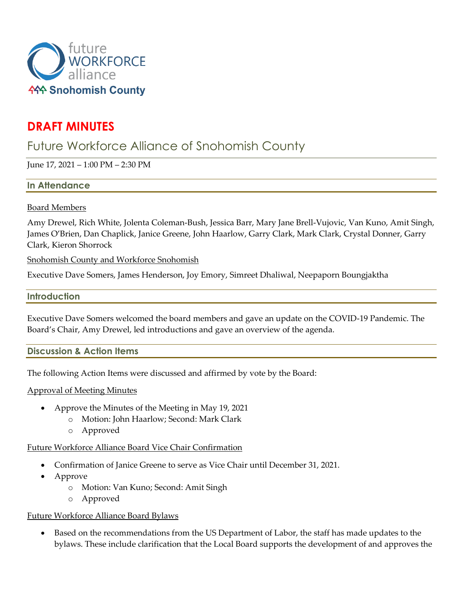

# **DRAFT MINUTES**

# Future Workforce Alliance of Snohomish County

June 17, 2021 – 1:00 PM – 2:30 PM

## **In Attendance**

## Board Members

Amy Drewel, Rich White, Jolenta Coleman-Bush, Jessica Barr, Mary Jane Brell-Vujovic, Van Kuno, Amit Singh, James O'Brien, Dan Chaplick, Janice Greene, John Haarlow, Garry Clark, Mark Clark, Crystal Donner, Garry Clark, Kieron Shorrock

Snohomish County and Workforce Snohomish

Executive Dave Somers, James Henderson, Joy Emory, Simreet Dhaliwal, Neepaporn Boungjaktha

### **Introduction**

Executive Dave Somers welcomed the board members and gave an update on the COVID-19 Pandemic. The Board's Chair, Amy Drewel, led introductions and gave an overview of the agenda.

**Discussion & Action Items**

The following Action Items were discussed and affirmed by vote by the Board:

### Approval of Meeting Minutes

- Approve the Minutes of the Meeting in May 19, 2021
	- o Motion: John Haarlow; Second: Mark Clark
	- o Approved

### Future Workforce Alliance Board Vice Chair Confirmation

- Confirmation of Janice Greene to serve as Vice Chair until December 31, 2021.
- Approve
	- o Motion: Van Kuno; Second: Amit Singh
	- o Approved

## Future Workforce Alliance Board Bylaws

• Based on the recommendations from the US Department of Labor, the staff has made updates to the bylaws. These include clarification that the Local Board supports the development of and approves the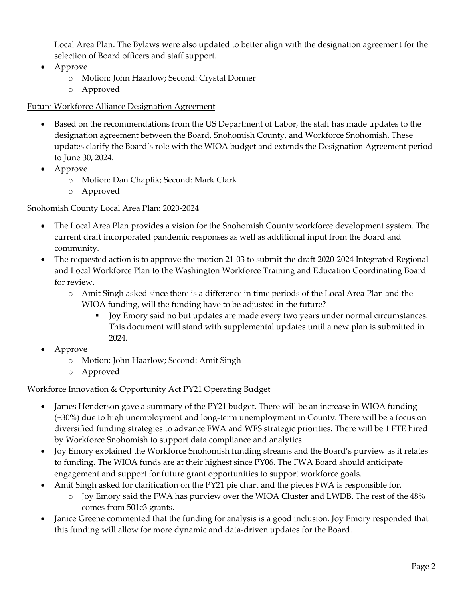Local Area Plan. The Bylaws were also updated to better align with the designation agreement for the selection of Board officers and staff support.

- Approve
	- o Motion: John Haarlow; Second: Crystal Donner
	- o Approved

## Future Workforce Alliance Designation Agreement

- Based on the recommendations from the US Department of Labor, the staff has made updates to the designation agreement between the Board, Snohomish County, and Workforce Snohomish. These updates clarify the Board's role with the WIOA budget and extends the Designation Agreement period to June 30, 2024.
- Approve
	- o Motion: Dan Chaplik; Second: Mark Clark
	- o Approved

# Snohomish County Local Area Plan: 2020-2024

- The Local Area Plan provides a vision for the Snohomish County workforce development system. The current draft incorporated pandemic responses as well as additional input from the Board and community.
- The requested action is to approve the motion 21-03 to submit the draft 2020-2024 Integrated Regional and Local Workforce Plan to the Washington Workforce Training and Education Coordinating Board for review.
	- o Amit Singh asked since there is a difference in time periods of the Local Area Plan and the WIOA funding, will the funding have to be adjusted in the future?
		- Joy Emory said no but updates are made every two years under normal circumstances. This document will stand with supplemental updates until a new plan is submitted in 2024.
- Approve
	- o Motion: John Haarlow; Second: Amit Singh
	- o Approved

# Workforce Innovation & Opportunity Act PY21 Operating Budget

- James Henderson gave a summary of the PY21 budget. There will be an increase in WIOA funding (~30%) due to high unemployment and long-term unemployment in County. There will be a focus on diversified funding strategies to advance FWA and WFS strategic priorities. There will be 1 FTE hired by Workforce Snohomish to support data compliance and analytics.
- Joy Emory explained the Workforce Snohomish funding streams and the Board's purview as it relates to funding. The WIOA funds are at their highest since PY06. The FWA Board should anticipate engagement and support for future grant opportunities to support workforce goals.
	- Amit Singh asked for clarification on the PY21 pie chart and the pieces FWA is responsible for. o Joy Emory said the FWA has purview over the WIOA Cluster and LWDB. The rest of the 48% comes from 501c3 grants.
- Janice Greene commented that the funding for analysis is a good inclusion. Joy Emory responded that this funding will allow for more dynamic and data-driven updates for the Board.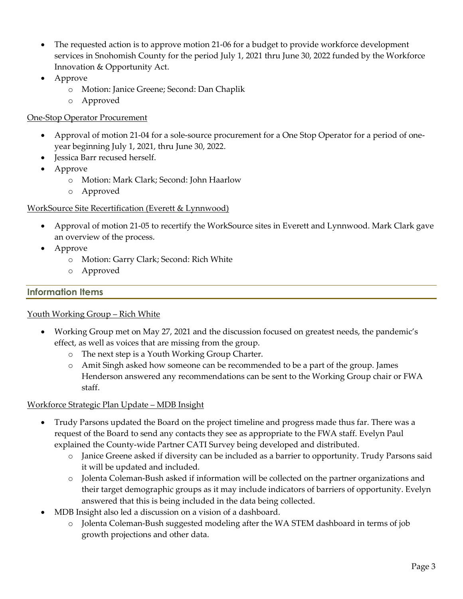- The requested action is to approve motion 21-06 for a budget to provide workforce development services in Snohomish County for the period July 1, 2021 thru June 30, 2022 funded by the Workforce Innovation & Opportunity Act.
- Approve
	- o Motion: Janice Greene; Second: Dan Chaplik
	- o Approved

# One-Stop Operator Procurement

- Approval of motion 21-04 for a sole-source procurement for a One Stop Operator for a period of oneyear beginning July 1, 2021, thru June 30, 2022.
- Jessica Barr recused herself.
- Approve
	- o Motion: Mark Clark; Second: John Haarlow
	- o Approved

## WorkSource Site Recertification (Everett & Lynnwood)

- Approval of motion 21-05 to recertify the WorkSource sites in Everett and Lynnwood. Mark Clark gave an overview of the process.
- Approve
	- o Motion: Garry Clark; Second: Rich White
	- o Approved

## **Information Items**

### Youth Working Group – Rich White

- Working Group met on May 27, 2021 and the discussion focused on greatest needs, the pandemic's effect, as well as voices that are missing from the group.
	- o The next step is a Youth Working Group Charter.
	- o Amit Singh asked how someone can be recommended to be a part of the group. James Henderson answered any recommendations can be sent to the Working Group chair or FWA staff.

## Workforce Strategic Plan Update – MDB Insight

- Trudy Parsons updated the Board on the project timeline and progress made thus far. There was a request of the Board to send any contacts they see as appropriate to the FWA staff. Evelyn Paul explained the County-wide Partner CATI Survey being developed and distributed.
	- o Janice Greene asked if diversity can be included as a barrier to opportunity. Trudy Parsons said it will be updated and included.
	- o Jolenta Coleman-Bush asked if information will be collected on the partner organizations and their target demographic groups as it may include indicators of barriers of opportunity. Evelyn answered that this is being included in the data being collected.
- MDB Insight also led a discussion on a vision of a dashboard.
	- o Jolenta Coleman-Bush suggested modeling after the WA STEM dashboard in terms of job growth projections and other data.